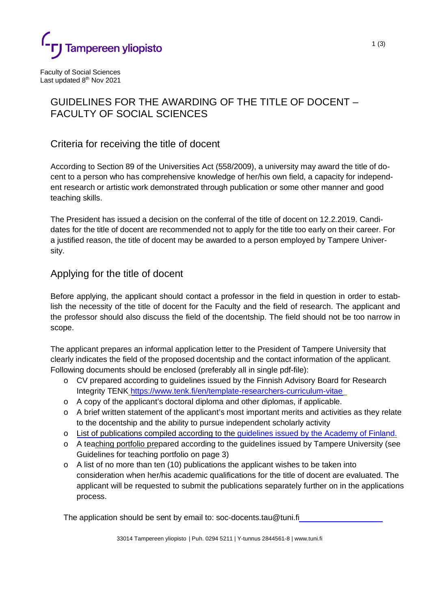

Faculty of Social Sciences Last updated 8<sup>th</sup> Nov 2021

# GUIDELINES FOR THE AWARDING OF THE TITLE OF DOCENT – FACULTY OF SOCIAL SCIENCES

## Criteria for receiving the title of docent

According to Section 89 of the Universities Act (558/2009), a university may award the title of docent to a person who has comprehensive knowledge of her/his own field, a capacity for independent research or artistic work demonstrated through publication or some other manner and good teaching skills.

The President has issued a decision on the conferral of the title of docent on 12.2.2019. Candidates for the title of docent are recommended not to apply for the title too early on their career. For a justified reason, the title of docent may be awarded to a person employed by Tampere University.

### Applying for the title of docent

Before applying, the applicant should contact a professor in the field in question in order to establish the necessity of the title of docent for the Faculty and the field of research. The applicant and the professor should also discuss the field of the docentship. The field should not be too narrow in scope.

The applicant prepares an informal application letter to the President of Tampere University that clearly indicates the field of the proposed docentship and the contact information of the applicant. Following documents should be enclosed (preferably all in single pdf-file):

- o CV prepared according to guidelines issued by the Finnish Advisory Board for Research Integrity TENK<https://www.tenk.fi/en/template-researchers-curriculum-vitae>
- $\circ$  A copy of the applicant's doctoral diploma and other diplomas, if applicable.
- o A brief written statement of the applicant's most important merits and activities as they relate to the docentship and the ability to pursue independent scholarly activity
- o [List of publications compiled according to the](https://www.aka.fi/en/funding/apply-for-funding/az-index-of-application-guidelines/list-of-publications/) [guidelines issued by the Academy of Finland.](https://www.aka.fi/en/research-funding/apply-for-funding/how-to-apply-for-funding/az-index-of-application-guidelines2/list-of-publications/)
- o A teaching portfolio prepared according to the guidelines issued by Tampere University (see Guidelines for teaching portfolio on page 3)
- $\circ$  A list of no more than ten (10) publications the applicant wishes to be taken into consideration when her/his academic qualifications for the title of docent are evaluated. The applicant will be requested to submit the publications separately further on in the applications process.

The application should be sent by email to: soc-docents.tau@tuni.f[i](mailto:paula.jarvenpaa@tuni.fi)

33014 Tampereen yliopisto | Puh. 0294 5211 | Y-tunnus 2844561-8 | [www.tuni.fi](http://www.tuni.fi/)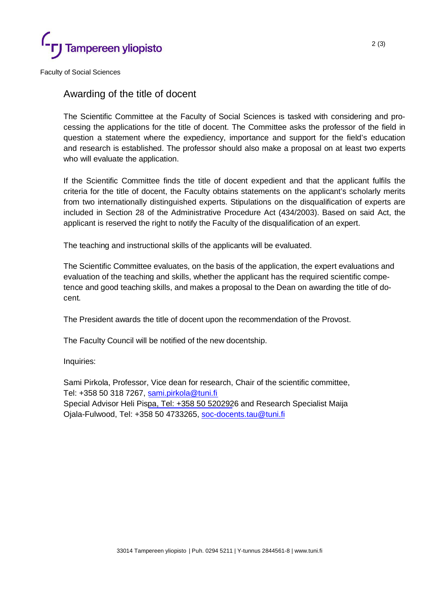

Faculty of Social Sciences

#### Awarding of the title of docent

The Scientific Committee at the Faculty of Social Sciences is tasked with considering and processing the applications for the title of docent. The Committee asks the professor of the field in question a statement where the expediency, importance and support for the field's education and research is established. The professor should also make a proposal on at least two experts who will evaluate the application.

If the Scientific Committee finds the title of docent expedient and that the applicant fulfils the criteria for the title of docent, the Faculty obtains statements on the applicant's scholarly merits from two internationally distinguished experts. Stipulations on the disqualification of experts are included in Section 28 of the Administrative Procedure Act (434/2003). Based on said Act, the applicant is reserved the right to notify the Faculty of the disqualification of an expert.

The teaching and instructional skills of the applicants will be evaluated.

The Scientific Committee evaluates, on the basis of the application, the expert evaluations and evaluation of the teaching and skills, whether the applicant has the required scientific competence and good teaching skills, and makes a proposal to the Dean on awarding the title of docent.

The President awards the title of docent upon the recommendation of the Provost.

The Faculty Council will be notified of the new docentship.

Inquiries:

Sami Pirkola, Professor, Vice dean for research, Chair of the scientific committee, Tel: +358 50 318 7267, [sami.pirkola@tuni.fi](mailto:sami.pirkola@tuni.fi) Special Advisor Heli Pis[pa, Tel: +358 50 520292](mailto:paula.jarvenpaa@tuni.fi)6 and Research Specialist Maija Ojala-Fulwood, Tel: +358 50 4733265, [soc-docents.tau@tuni.fi](mailto:soc-docents.tau@tuni.fi)